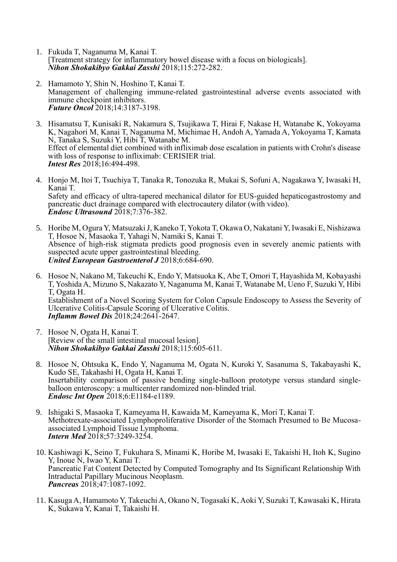- 1. Fukuda T, Naganuma M, Kanai T. [Treatment strategy for inflammatory bowel disease with a focus on biologicals]. *Nihon Shokakibyo Gakkai Zasshi* 2018;115:272-282.
- 2. Hamamoto Y, Shin N, Hoshino T, Kanai T. Management of challenging immune-related gastrointestinal adverse events associated with immune checkpoint inhibitors. *Future Oncol* 2018;14:3187-3198.
- 3. Hisamatsu T, Kunisaki R, Nakamura S, Tsujikawa T, Hirai F, Nakase H, Watanabe K, Yokoyama K, Nagahori M, Kanai T, Naganuma M, Michimae H, Andoh A, Yamada A, Yokoyama T, Kamata N, Tanaka S, Suzuki Y, Hibi T, Watanabe M. Effect of elemental diet combined with infliximab dose escalation in patients with Crohn's disease with loss of response to infliximab: CERISIER trial. *Intest Res* 2018;16:494-498.
- 4. Honjo M, Itoi T, Tsuchiya T, Tanaka R, Tonozuka R, Mukai S, Sofuni A, Nagakawa Y, Iwasaki H, Kanai T. Safety and efficacy of ultra-tapered mechanical dilator for EUS-guided hepaticogastrostomy and pancreatic duct drainage compared with electrocautery dilator (with video). *Endosc Ultrasound* 2018;7:376-382.
- 5. Horibe M, Ogura Y, Matsuzaki J, Kaneko T, Yokota T, Okawa O, Nakatani Y, Iwasaki E, Nishizawa T, Hosoe N, Masaoka T, Yahagi N, Namiki S, Kanai T. Absence of high-risk stigmata predicts good prognosis even in severely anemic patients with suspected acute upper gastrointestinal bleeding. *United European Gastroenterol J* 2018;6:684-690.
- 6. Hosoe N, Nakano M, Takeuchi K, Endo Y, Matsuoka K, Abe T, Omori T, Hayashida M, Kobayashi T, Yoshida A, Mizuno S, Nakazato Y, Naganuma M, Kanai T, Watanabe M, Ueno F, Suzuki Y, Hibi T, Ogata H. Establishment of a Novel Scoring System for Colon Capsule Endoscopy to Assess the Severity of Ulcerative Colitis-Capsule Scoring of Ulcerative Colitis. *Inflamm Bowel Dis* 2018;24:2641-2647.
- 7. Hosoe N, Ogata H, Kanai T. [Review of the small intestinal mucosal lesion]. *Nihon Shokakibyo Gakkai Zasshi* 2018;115:605-611.
- 8. Hosoe N, Ohtsuka K, Endo Y, Naganuma M, Ogata N, Kuroki Y, Sasanuma S, Takabayashi K, Kudo SE, Takahashi H, Ogata H, Kanai T. Insertability comparison of passive bending single-balloon prototype versus standard singleballoon enteroscopy: a multicenter randomized non-blinded trial. *Endosc Int Open* 2018;6:E1184-e1189.
- 9. Ishigaki S, Masaoka T, Kameyama H, Kawaida M, Kameyama K, Mori T, Kanai T. Methotrexate-associated Lymphoproliferative Disorder of the Stomach Presumed to Be Mucosaassociated Lymphoid Tissue Lymphoma. *Intern Med* 2018;57:3249-3254.
- 10. Kashiwagi K, Seino T, Fukuhara S, Minami K, Horibe M, Iwasaki E, Takaishi H, Itoh K, Sugino Y, Inoue N, Iwao Y, Kanai T. Pancreatic Fat Content Detected by Computed Tomography and Its Significant Relationship With Intraductal Papillary Mucinous Neoplasm. *Pancreas* 2018;47:1087-1092.
- 11. Kasuga A, Hamamoto Y, Takeuchi A, Okano N, Togasaki K, Aoki Y, Suzuki T, Kawasaki K, Hirata K, Sukawa Y, Kanai T, Takaishi H.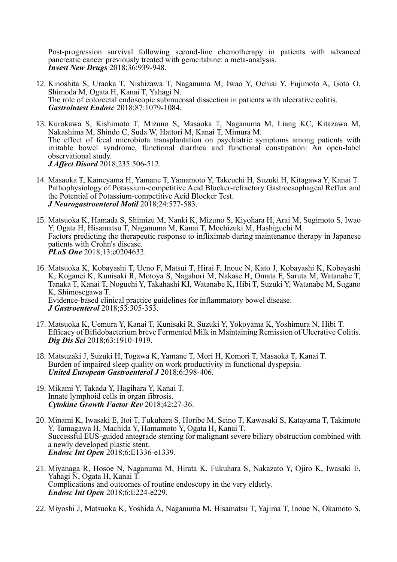Post-progression survival following second-line chemotherapy in patients with advanced pancreatic cancer previously treated with gemcitabine: a meta-analysis. *Invest New Drugs* 2018;36:939-948.

- 12. Kinoshita S, Uraoka T, Nishizawa T, Naganuma M, Iwao Y, Ochiai Y, Fujimoto A, Goto O, Shimoda M, Ogata H, Kanai T, Yahagi N. The role of colorectal endoscopic submucosal dissection in patients with ulcerative colitis. *Gastrointest Endosc* 2018;87:1079-1084.
- 13. Kurokawa S, Kishimoto T, Mizuno S, Masaoka T, Naganuma M, Liang KC, Kitazawa M, Nakashima M, Shindo C, Suda W, Hattori M, Kanai T, Mimura M. The effect of fecal microbiota transplantation on psychiatric symptoms among patients with irritable bowel syndrome, functional diarrhea and functional constipation: An open-label observational study. *J Affect Disord* 2018;235:506-512.
- 14. Masaoka T, Kameyama H, Yamane T, Yamamoto Y, Takeuchi H, Suzuki H, Kitagawa Y, Kanai T. Pathophysiology of Potassium-competitive Acid Blocker-refractory Gastroesophageal Reflux and the Potential of Potassium-competitive Acid Blocker Test. *J Neurogastroenterol Motil* 2018;24:577-583.
- 15. Matsuoka K, Hamada S, Shimizu M, Nanki K, Mizuno S, Kiyohara H, Arai M, Sugimoto S, Iwao Y, Ogata H, Hisamatsu T, Naganuma M, Kanai T, Mochizuki M, Hashiguchi M. Factors predicting the therapeutic response to infliximab during maintenance therapy in Japanese patients with Crohn's disease. *PLoS One* 2018;13:e0204632.
- 16. Matsuoka K, Kobayashi T, Ueno F, Matsui T, Hirai F, Inoue N, Kato J, Kobayashi K, Kobayashi K, Koganei K, Kunisaki R, Motoya S, Nagahori M, Nakase H, Omata F, Saruta M, Watanabe T, Tanaka T, Kanai T, Noguchi Y, Takahashi KI, Watanabe K, Hibi T, Suzuki Y, Watanabe M, Sugano K, Shimosegawa T. Evidence-based clinical practice guidelines for inflammatory bowel disease. *J Gastroenterol* 2018;53:305-353.
- 17. Matsuoka K, Uemura Y, Kanai T, Kunisaki R, Suzuki Y, Yokoyama K, Yoshimura N, Hibi T. Efficacy of Bifidobacterium breve Fermented Milk in Maintaining Remission of Ulcerative Colitis. *Dig Dis Sci* 2018;63:1910-1919.
- 18. Matsuzaki J, Suzuki H, Togawa K, Yamane T, Mori H, Komori T, Masaoka T, Kanai T. Burden of impaired sleep quality on work productivity in functional dyspepsia. *United European Gastroenterol J* 2018;6:398-406.
- 19. Mikami Y, Takada Y, Hagihara Y, Kanai T. Innate lymphoid cells in organ fibrosis. *Cytokine Growth Factor Rev* 2018;42:27-36.
- 20. Minami K, Iwasaki E, Itoi T, Fukuhara S, Horibe M, Seino T, Kawasaki S, Katayama T, Takimoto Y, Tamagawa H, Machida Y, Hamamoto Y, Ogata H, Kanai T. Successful EUS-guided antegrade stenting for malignant severe biliary obstruction combined with a newly developed plastic stent. *Endosc Int Open* 2018;6:E1336-e1339.
- 21. Miyanaga R, Hosoe N, Naganuma M, Hirata K, Fukuhara S, Nakazato Y, Ojiro K, Iwasaki E, Yahagi N, Ogata H, Kanai T. Complications and outcomes of routine endoscopy in the very elderly. *Endosc Int Open* 2018;6:E224-e229.
- 22. Miyoshi J, Matsuoka K, Yoshida A, Naganuma M, Hisamatsu T, Yajima T, Inoue N, Okamoto S,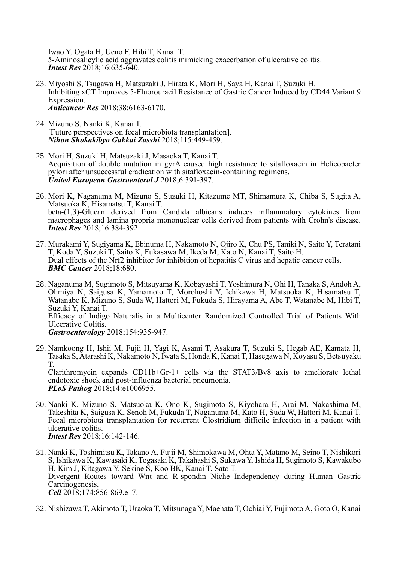Iwao Y, Ogata H, Ueno F, Hibi T, Kanai T. 5-Aminosalicylic acid aggravates colitis mimicking exacerbation of ulcerative colitis. *Intest Res* 2018;16:635-640.

- 23. Miyoshi S, Tsugawa H, Matsuzaki J, Hirata K, Mori H, Saya H, Kanai T, Suzuki H. Inhibiting xCT Improves 5-Fluorouracil Resistance of Gastric Cancer Induced by CD44 Variant 9 Expression. *Anticancer Res* 2018;38:6163-6170.
- 24. Mizuno S, Nanki K, Kanai T. [Future perspectives on fecal microbiota transplantation]. *Nihon Shokakibyo Gakkai Zasshi* 2018;115:449-459.
- 25. Mori H, Suzuki H, Matsuzaki J, Masaoka T, Kanai T. Acquisition of double mutation in gyrA caused high resistance to sitafloxacin in Helicobacter pylori after unsuccessful eradication with sitafloxacin-containing regimens. *United European Gastroenterol J* 2018;6:391-397.
- 26. Mori K, Naganuma M, Mizuno S, Suzuki H, Kitazume MT, Shimamura K, Chiba S, Sugita A, Matsuoka K, Hisamatsu T, Kanai T. beta-(1,3)-Glucan derived from Candida albicans induces inflammatory cytokines from macrophages and lamina propria mononuclear cells derived from patients with Crohn's disease. *Intest Res* 2018;16:384-392.
- 27. Murakami Y, Sugiyama K, Ebinuma H, Nakamoto N, Ojiro K, Chu PS, Taniki N, Saito Y, Teratani T, Koda Y, Suzuki T, Saito K, Fukasawa M, Ikeda M, Kato N, Kanai T, Saito H. Dual effects of the Nrf2 inhibitor for inhibition of hepatitis C virus and hepatic cancer cells. *BMC Cancer* 2018;18:680.
- 28. Naganuma M, Sugimoto S, Mitsuyama K, Kobayashi T, Yoshimura N, Ohi H, Tanaka S, Andoh A, Ohmiya N, Saigusa K, Yamamoto T, Morohoshi Y, Ichikawa H, Matsuoka K, Hisamatsu T, Watanabe K, Mizuno S, Suda W, Hattori M, Fukuda S, Hirayama A, Abe T, Watanabe M, Hibi T, Suzuki Y, Kanai T. Efficacy of Indigo Naturalis in a Multicenter Randomized Controlled Trial of Patients With Ulcerative Colitis. *Gastroenterology* 2018;154:935-947.
- 29. Namkoong H, Ishii M, Fujii H, Yagi K, Asami T, Asakura T, Suzuki S, Hegab AE, Kamata H, Tasaka S, Atarashi K, Nakamoto N, Iwata S, Honda K, Kanai T, Hasegawa N, Koyasu S, Betsuyaku T.

Clarithromycin expands CD11b+Gr-1+ cells via the STAT3/Bv8 axis to ameliorate lethal endotoxic shock and post-influenza bacterial pneumonia. *PLoS Pathog* 2018;14:e1006955.

- 30. Nanki K, Mizuno S, Matsuoka K, Ono K, Sugimoto S, Kiyohara H, Arai M, Nakashima M, Takeshita K, Saigusa K, Senoh M, Fukuda T, Naganuma M, Kato H, Suda W, Hattori M, Kanai T. Fecal microbiota transplantation for recurrent Clostridium difficile infection in a patient with ulcerative colitis. *Intest Res* 2018;16:142-146.
- 31. Nanki K, Toshimitsu K, Takano A, Fujii M, Shimokawa M, Ohta Y, Matano M, Seino T, Nishikori S, Ishikawa K, Kawasaki K, Togasaki K, Takahashi S, Sukawa Y, Ishida H, Sugimoto S, Kawakubo H, Kim J, Kitagawa Y, Sekine S, Koo BK, Kanai T, Sato T. Divergent Routes toward Wnt and R-spondin Niche Independency during Human Gastric Carcinogenesis. *Cell* 2018;174:856-869.e17.
- 32. Nishizawa T, Akimoto T, Uraoka T, Mitsunaga Y, Maehata T, Ochiai Y, Fujimoto A, Goto O, Kanai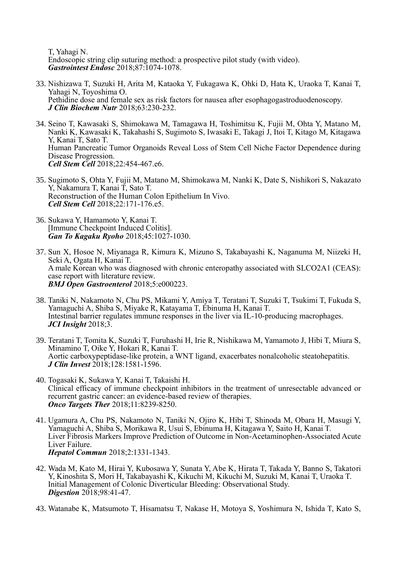T, Yahagi N. Endoscopic string clip suturing method: a prospective pilot study (with video). *Gastrointest Endosc* 2018;87:1074-1078.

- 33. Nishizawa T, Suzuki H, Arita M, Kataoka Y, Fukagawa K, Ohki D, Hata K, Uraoka T, Kanai T, Yahagi N, Toyoshima O. Pethidine dose and female sex as risk factors for nausea after esophagogastroduodenoscopy. *J Clin Biochem Nutr* 2018;63:230-232.
- 34. Seino T, Kawasaki S, Shimokawa M, Tamagawa H, Toshimitsu K, Fujii M, Ohta Y, Matano M, Nanki K, Kawasaki K, Takahashi S, Sugimoto S, Iwasaki E, Takagi J, Itoi T, Kitago M, Kitagawa Y, Kanai T, Sato T. Human Pancreatic Tumor Organoids Reveal Loss of Stem Cell Niche Factor Dependence during Disease Progression. *Cell Stem Cell* 2018;22:454-467.e6.
- 35. Sugimoto S, Ohta Y, Fujii M, Matano M, Shimokawa M, Nanki K, Date S, Nishikori S, Nakazato Y, Nakamura T, Kanai T, Sato T. Reconstruction of the Human Colon Epithelium In Vivo. *Cell Stem Cell* 2018;22:171-176.e5.
- 36. Sukawa Y, Hamamoto Y, Kanai T. [Immune Checkpoint Induced Colitis]. *Gan To Kagaku Ryoho* 2018;45:1027-1030.
- 37. Sun X, Hosoe N, Miyanaga R, Kimura K, Mizuno S, Takabayashi K, Naganuma M, Niizeki H, Seki A, Ogata H, Kanai T. A male Korean who was diagnosed with chronic enteropathy associated with SLCO2A1 (CEAS): case report with literature review. *BMJ Open Gastroenterol* 2018;5:e000223.
- 38. Taniki N, Nakamoto N, Chu PS, Mikami Y, Amiya T, Teratani T, Suzuki T, Tsukimi T, Fukuda S, Yamaguchi A, Shiba S, Miyake R, Katayama T, Ebinuma H, Kanai T. Intestinal barrier regulates immune responses in the liver via IL-10-producing macrophages. *JCI Insight* 2018;3.
- 39. Teratani T, Tomita K, Suzuki T, Furuhashi H, Irie R, Nishikawa M, Yamamoto J, Hibi T, Miura S, Minamino T, Oike Y, Hokari R, Kanai T. Aortic carboxypeptidase-like protein, a WNT ligand, exacerbates nonalcoholic steatohepatitis. *J Clin Invest* 2018;128:1581-1596.
- 40. Togasaki K, Sukawa Y, Kanai T, Takaishi H. Clinical efficacy of immune checkpoint inhibitors in the treatment of unresectable advanced or recurrent gastric cancer: an evidence-based review of therapies. *Onco Targets Ther* 2018;11:8239-8250.
- 41. Ugamura A, Chu PS, Nakamoto N, Taniki N, Ojiro K, Hibi T, Shinoda M, Obara H, Masugi Y, Yamaguchi A, Shiba S, Morikawa R, Usui S, Ebinuma H, Kitagawa Y, Saito H, Kanai T. Liver Fibrosis Markers Improve Prediction of Outcome in Non-Acetaminophen-Associated Acute Liver Failure. *Hepatol Commun* 2018;2:1331-1343.
- 42. Wada M, Kato M, Hirai Y, Kubosawa Y, Sunata Y, Abe K, Hirata T, Takada Y, Banno S, Takatori Y, Kinoshita S, Mori H, Takabayashi K, Kikuchi M, Kikuchi M, Suzuki M, Kanai T, Uraoka T. Initial Management of Colonic Diverticular Bleeding: Observational Study. *Digestion* 2018;98:41-47.
- 43. Watanabe K, Matsumoto T, Hisamatsu T, Nakase H, Motoya S, Yoshimura N, Ishida T, Kato S,